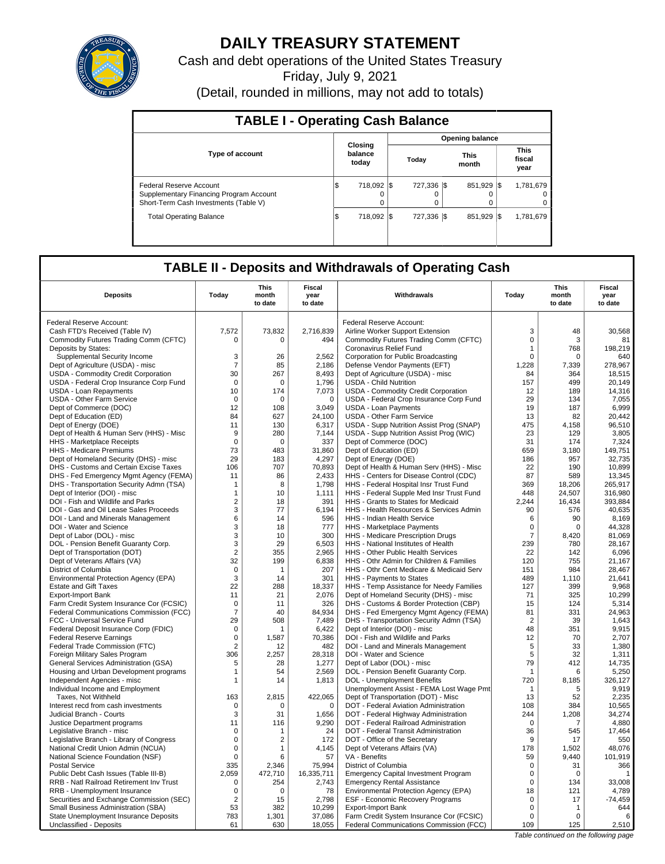

# **DAILY TREASURY STATEMENT**

Cash and debt operations of the United States Treasury

Friday, July 9, 2021

(Detail, rounded in millions, may not add to totals)

| <b>TABLE I - Operating Cash Balance</b>                                                                     |                             |                        |               |                               |  |  |  |  |  |
|-------------------------------------------------------------------------------------------------------------|-----------------------------|------------------------|---------------|-------------------------------|--|--|--|--|--|
|                                                                                                             |                             | <b>Opening balance</b> |               |                               |  |  |  |  |  |
| <b>Type of account</b>                                                                                      | Closing<br>balance<br>today | Today                  | This<br>month | <b>This</b><br>fiscal<br>year |  |  |  |  |  |
| Federal Reserve Account<br>Supplementary Financing Program Account<br>Short-Term Cash Investments (Table V) | 718.092<br>1\$<br>$\Omega$  | 727.336 \\$<br>0       | 851.929       | 1,781,679<br>-1\$<br>0<br>0   |  |  |  |  |  |
| <b>Total Operating Balance</b>                                                                              | 718.092<br>\$               | 727.336 \\             | 851.929       | 1,781,679<br>-1\$             |  |  |  |  |  |

# **TABLE II - Deposits and Withdrawals of Operating Cash**

|                                                            |                | This        | Fiscal                 |                                                                               |                  | This        | <b>Fiscal</b>   |
|------------------------------------------------------------|----------------|-------------|------------------------|-------------------------------------------------------------------------------|------------------|-------------|-----------------|
| <b>Deposits</b>                                            | Today          | month       | year                   | Withdrawals                                                                   | Today            | month       | year            |
|                                                            |                | to date     | to date                |                                                                               |                  | to date     | to date         |
|                                                            |                |             |                        |                                                                               |                  |             |                 |
| Federal Reserve Account:                                   |                |             |                        | Federal Reserve Account:                                                      |                  |             |                 |
| Cash FTD's Received (Table IV)                             | 7,572          | 73,832      | 2.716.839              | Airline Worker Support Extension                                              | 3<br>$\mathsf 0$ | 48          | 30,568          |
| Commodity Futures Trading Comm (CFTC)                      | 0              | 0           | 494                    | Commodity Futures Trading Comm (CFTC)<br>Coronavirus Relief Fund              | 1                | 3<br>768    | 81<br>198.219   |
| Deposits by States:<br>Supplemental Security Income        | 3              | 26          | 2,562                  | Corporation for Public Broadcasting                                           | $\mathsf 0$      | 0           | 640             |
| Dept of Agriculture (USDA) - misc                          | $\overline{7}$ | 85          | 2,186                  | Defense Vendor Payments (EFT)                                                 | 1,228            | 7,339       | 278,967         |
| USDA - Commodity Credit Corporation                        | 30             | 267         | 8,493                  | Dept of Agriculture (USDA) - misc                                             | 84               | 364         | 18,515          |
| USDA - Federal Crop Insurance Corp Fund                    | $\Omega$       | $\Omega$    | 1,796                  | <b>USDA - Child Nutrition</b>                                                 | 157              | 499         | 20,149          |
| <b>USDA - Loan Repayments</b>                              | 10             | 174         | 7,073                  | USDA - Commodity Credit Corporation                                           | 12               | 189         | 14.316          |
| USDA - Other Farm Service                                  | $\mathbf 0$    | $\Omega$    | $\mathbf 0$            | USDA - Federal Crop Insurance Corp Fund                                       | 29               | 134         | 7,055           |
| Dept of Commerce (DOC)                                     | 12             | 108         | 3,049                  | <b>USDA - Loan Payments</b>                                                   | 19               | 187         | 6,999           |
| Dept of Education (ED)                                     | 84             | 627         | 24,100                 | <b>USDA - Other Farm Service</b>                                              | 13               | 82          | 20,442          |
| Dept of Energy (DOE)                                       | 11             | 130         | 6,317                  | USDA - Supp Nutrition Assist Prog (SNAP)                                      | 475              | 4,158       | 96,510          |
| Dept of Health & Human Serv (HHS) - Misc                   | 9              | 280         | 7,144                  | USDA - Supp Nutrition Assist Prog (WIC)                                       | 23               | 129         | 3,805           |
| HHS - Marketplace Receipts                                 | $\mathbf 0$    | $\mathbf 0$ | 337                    | Dept of Commerce (DOC)                                                        | 31               | 174         | 7,324           |
| HHS - Medicare Premiums                                    | 73             | 483         | 31,860                 | Dept of Education (ED)                                                        | 659              | 3,180       | 149,751         |
| Dept of Homeland Security (DHS) - misc                     | 29             | 183         | 4,297                  | Dept of Energy (DOE)                                                          | 186              | 957         | 32,735          |
| DHS - Customs and Certain Excise Taxes                     | 106            | 707         | 70,893                 | Dept of Health & Human Serv (HHS) - Misc                                      | 22               | 190         | 10,899          |
| DHS - Fed Emergency Mgmt Agency (FEMA)                     | 11             | 86          | 2,433                  | HHS - Centers for Disease Control (CDC)                                       | 87               | 589         | 13,345          |
| DHS - Transportation Security Admn (TSA)                   | -1             | 8           | 1,798                  | HHS - Federal Hospital Insr Trust Fund                                        | 369              | 18,206      | 265,917         |
| Dept of Interior (DOI) - misc                              | $\mathbf{1}$   | 10          | 1,111                  | HHS - Federal Supple Med Insr Trust Fund                                      | 448              | 24,507      | 316,980         |
| DOI - Fish and Wildlife and Parks                          | $\overline{2}$ | 18          | 391                    | HHS - Grants to States for Medicaid                                           | 2,244            | 16.434      | 393.884         |
| DOI - Gas and Oil Lease Sales Proceeds                     | 3              | 77          | 6,194                  | HHS - Health Resources & Services Admin                                       | 90               | 576         | 40,635          |
| DOI - Land and Minerals Management                         | 6              | 14          | 596                    | HHS - Indian Health Service                                                   | 6                | 90          | 8,169           |
| DOI - Water and Science                                    | 3              | 18          | 777                    | HHS - Marketplace Payments                                                    | 0                | $\mathbf 0$ | 44,328          |
| Dept of Labor (DOL) - misc                                 | 3              | 10          | 300                    | HHS - Medicare Prescription Drugs                                             | $\overline{7}$   | 8,420       | 81,069          |
| DOL - Pension Benefit Guaranty Corp.                       | 3              | 29          | 6,503                  | HHS - National Institutes of Health                                           | 239              | 780         | 28,167          |
| Dept of Transportation (DOT)                               | $\sqrt{2}$     | 355         | 2,965                  | HHS - Other Public Health Services                                            | 22               | 142         | 6,096           |
| Dept of Veterans Affairs (VA)                              | 32             | 199         | 6,838                  | HHS - Othr Admin for Children & Families                                      | 120              | 755         | 21,167          |
| District of Columbia                                       | $\mathbf 0$    | $\mathbf 1$ | 207                    | HHS - Othr Cent Medicare & Medicaid Serv                                      | 151              | 984         | 28,467          |
| Environmental Protection Agency (EPA)                      | 3              | 14          | 301                    | HHS - Payments to States                                                      | 489              | 1,110       | 21,641          |
| <b>Estate and Gift Taxes</b>                               | 22             | 288         | 18,337                 | HHS - Temp Assistance for Needy Families                                      | 127              | 399         | 9,968           |
| <b>Export-Import Bank</b>                                  | 11             | 21          | 2,076                  | Dept of Homeland Security (DHS) - misc                                        | 71               | 325         | 10,299          |
| Farm Credit System Insurance Cor (FCSIC)                   | $\mathbf 0$    | 11          | 326                    | DHS - Customs & Border Protection (CBP)                                       | 15               | 124         | 5,314           |
| Federal Communications Commission (FCC)                    | $\overline{7}$ | 40          | 84.934                 | DHS - Fed Emergency Mgmt Agency (FEMA)                                        | 81               | 331         | 24,963          |
| FCC - Universal Service Fund                               | 29             | 508         | 7,489                  | DHS - Transportation Security Admn (TSA)                                      | $\overline{2}$   | 39          | 1,643           |
| Federal Deposit Insurance Corp (FDIC)                      | $\Omega$       | 1           | 6,422                  | Dept of Interior (DOI) - misc                                                 | 48               | 351         | 9,915           |
| <b>Federal Reserve Earnings</b>                            | $\mathbf 0$    | 1,587       | 70,386                 | DOI - Fish and Wildlife and Parks                                             | 12               | 70          | 2,707           |
| Federal Trade Commission (FTC)                             | $\overline{2}$ | 12          | 482                    | DOI - Land and Minerals Management                                            | 5                | 33          | 1,380           |
| Foreign Military Sales Program                             | 306            | 2,257       | 28,318                 | DOI - Water and Science                                                       | 5                | 32          | 1,311           |
| General Services Administration (GSA)                      | 5              | 28          | 1,277                  | Dept of Labor (DOL) - misc                                                    | 79               | 412         | 14,735          |
| Housing and Urban Development programs                     | $\mathbf{1}$   | 54          | 2.569                  | DOL - Pension Benefit Guaranty Corp.                                          | $\mathbf{1}$     | 6           | 5.250           |
| Independent Agencies - misc                                | 1              | 14          | 1,813                  | DOL - Unemployment Benefits                                                   | 720              | 8,185       | 326,127         |
| Individual Income and Employment                           |                |             |                        | Unemployment Assist - FEMA Lost Wage Pmt                                      | $\mathbf{1}$     | 5           | 9,919           |
| Taxes, Not Withheld<br>Interest recd from cash investments | 163            | 2,815       | 422,065<br>$\mathbf 0$ | Dept of Transportation (DOT) - Misc                                           | 13<br>108        | 52<br>384   | 2,235<br>10,565 |
|                                                            | 0<br>3         | 0<br>31     |                        | DOT - Federal Aviation Administration                                         | 244              |             | 34,274          |
| Judicial Branch - Courts<br>Justice Department programs    | 11             | 116         | 1,656<br>9,290         | DOT - Federal Highway Administration<br>DOT - Federal Railroad Administration | $\Omega$         | 1,208<br>7  | 4,880           |
| Legislative Branch - misc                                  | 0              | 1           | 24                     | DOT - Federal Transit Administration                                          | 36               | 545         | 17,464          |
| Legislative Branch - Library of Congress                   | 0              | 2           | 172                    | DOT - Office of the Secretary                                                 | 9                | 17          | 550             |
| National Credit Union Admin (NCUA)                         | $\mathbf 0$    | 1           | 4,145                  | Dept of Veterans Affairs (VA)                                                 | 178              | 1,502       | 48,076          |
| National Science Foundation (NSF)                          | $\Omega$       | 6           | 57                     | VA - Benefits                                                                 | 59               | 9,440       | 101,919         |
| <b>Postal Service</b>                                      | 335            | 2.346       | 75,994                 | District of Columbia                                                          | $\mathbf 0$      | 31          | 366             |
| Public Debt Cash Issues (Table III-B)                      | 2,059          | 472,710     | 16,335,711             | <b>Emergency Capital Investment Program</b>                                   | $\mathsf 0$      | $\mathbf 0$ | $\mathbf{1}$    |
| <b>RRB - Natl Railroad Retirement Inv Trust</b>            | $\mathbf 0$    | 254         | 2,743                  | <b>Emergency Rental Assistance</b>                                            | 0                | 134         | 33.008          |
| RRB - Unemployment Insurance                               | $\mathbf 0$    | $\mathbf 0$ | 78                     | Environmental Protection Agency (EPA)                                         | 18               | 121         | 4,789           |
| Securities and Exchange Commission (SEC)                   | 2              | 15          | 2,798                  | ESF - Economic Recovery Programs                                              | 0                | 17          | $-74,459$       |
| Small Business Administration (SBA)                        | 53             | 382         | 10,299                 | <b>Export-Import Bank</b>                                                     | $\mathbf 0$      | 1           | 644             |
| State Unemployment Insurance Deposits                      | 783            | 1,301       | 37,086                 | Farm Credit System Insurance Cor (FCSIC)                                      | $\Omega$         | $\Omega$    | 6               |
| Unclassified - Deposits                                    | 61             | 630         | 18,055                 | Federal Communications Commission (FCC)                                       | 109              | 125         | 2,510           |
|                                                            |                |             |                        |                                                                               |                  |             |                 |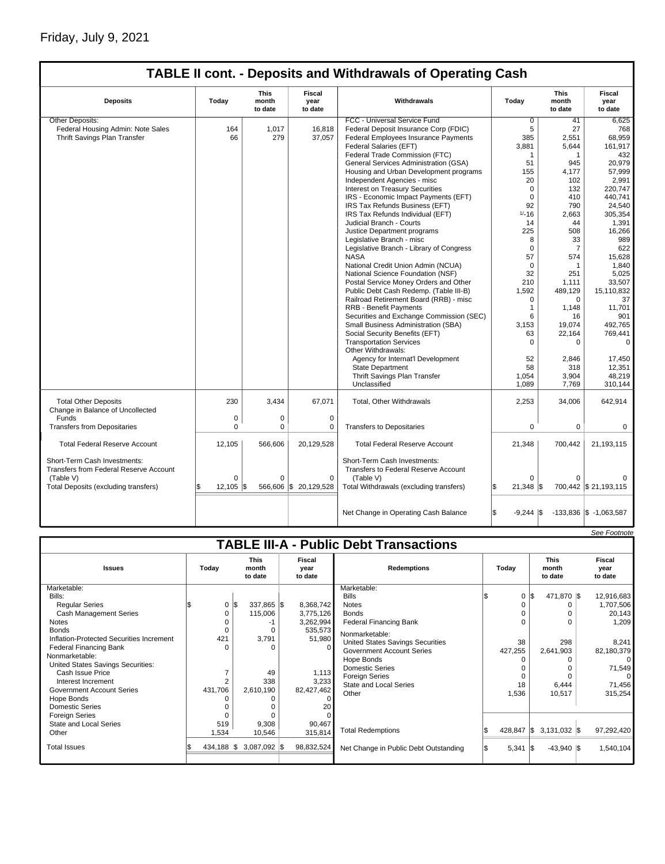# Friday, July 9, 2021

 $\mathsf{l}$ 

# **TABLE II cont. - Deposits and Withdrawals of Operating Cash**

| <b>Deposits</b>                                                                     | Todav        | This<br>month<br>to date | Fiscal<br>year<br>to date | Withdrawals                                                                              | Todav                      | <b>This</b><br>month<br>to date | Fiscal<br>vear<br>to date  |
|-------------------------------------------------------------------------------------|--------------|--------------------------|---------------------------|------------------------------------------------------------------------------------------|----------------------------|---------------------------------|----------------------------|
| Other Deposits:                                                                     |              |                          |                           | FCC - Universal Service Fund                                                             | $\overline{0}$             | 41                              | 6,625                      |
| Federal Housing Admin: Note Sales                                                   | 164          | 1.017                    | 16,818                    | Federal Deposit Insurance Corp (FDIC)                                                    | 5                          | 27                              | 768                        |
| Thrift Savings Plan Transfer                                                        | 66           | 279                      | 37,057                    | Federal Employees Insurance Payments                                                     | 385                        | 2,551                           | 68,959                     |
|                                                                                     |              |                          |                           | Federal Salaries (EFT)                                                                   | 3,881                      | 5.644                           | 161.917                    |
|                                                                                     |              |                          |                           | Federal Trade Commission (FTC)                                                           | 1                          | 1                               | 432                        |
|                                                                                     |              |                          |                           | General Services Administration (GSA)                                                    | 51                         | 945                             | 20.979                     |
|                                                                                     |              |                          |                           | Housing and Urban Development programs                                                   | 155                        | 4.177                           | 57,999                     |
|                                                                                     |              |                          |                           | Independent Agencies - misc                                                              | 20                         | 102                             | 2,991                      |
|                                                                                     |              |                          |                           | Interest on Treasury Securities                                                          | $\mathbf 0$                | 132                             | 220.747                    |
|                                                                                     |              |                          |                           | IRS - Economic Impact Payments (EFT)                                                     | $\mathbf 0$                | 410                             | 440.741                    |
|                                                                                     |              |                          |                           | IRS Tax Refunds Business (EFT)                                                           | 92                         | 790                             | 24.540                     |
|                                                                                     |              |                          |                           | IRS Tax Refunds Individual (EFT)                                                         | $1/-16$                    | 2,663                           | 305,354                    |
|                                                                                     |              |                          |                           | Judicial Branch - Courts                                                                 | 14                         | 44                              | 1,391                      |
|                                                                                     |              |                          |                           | Justice Department programs                                                              | 225                        | 508                             | 16,266                     |
|                                                                                     |              |                          |                           | Legislative Branch - misc                                                                | 8                          | 33                              | 989                        |
|                                                                                     |              |                          |                           | Legislative Branch - Library of Congress                                                 | $\mathbf 0$                | $\overline{7}$                  | 622                        |
|                                                                                     |              |                          |                           | <b>NASA</b>                                                                              | 57                         | 574                             | 15,628                     |
|                                                                                     |              |                          |                           | National Credit Union Admin (NCUA)                                                       | $\mathbf 0$                | $\mathbf{1}$                    | 1,840                      |
|                                                                                     |              |                          |                           | National Science Foundation (NSF)                                                        | 32                         | 251                             | 5.025                      |
|                                                                                     |              |                          |                           | Postal Service Money Orders and Other                                                    | 210                        | 1.111                           | 33.507                     |
|                                                                                     |              |                          |                           | Public Debt Cash Redemp. (Table III-B)                                                   | 1,592                      | 489.129                         | 15,110,832                 |
|                                                                                     |              |                          |                           | Railroad Retirement Board (RRB) - misc                                                   | 0                          | $\Omega$                        | 37                         |
|                                                                                     |              |                          |                           | <b>RRB - Benefit Payments</b>                                                            | 1                          | 1,148                           | 11,701                     |
|                                                                                     |              |                          |                           | Securities and Exchange Commission (SEC)                                                 | 6                          | 16                              | 901                        |
|                                                                                     |              |                          |                           | Small Business Administration (SBA)                                                      | 3,153                      | 19,074                          | 492.765                    |
|                                                                                     |              |                          |                           | Social Security Benefits (EFT)                                                           | 63                         | 22,164                          | 769,441                    |
|                                                                                     |              |                          |                           | <b>Transportation Services</b>                                                           | $\Omega$                   | $\Omega$                        | $\mathbf 0$                |
|                                                                                     |              |                          |                           | Other Withdrawals:                                                                       |                            |                                 |                            |
|                                                                                     |              |                          |                           | Agency for Internat'l Development                                                        | 52                         | 2,846                           | 17,450                     |
|                                                                                     |              |                          |                           | State Department                                                                         | 58                         | 318                             | 12,351                     |
|                                                                                     |              |                          |                           | Thrift Savings Plan Transfer                                                             | 1,054                      | 3,904                           | 48,219                     |
|                                                                                     |              |                          |                           | Unclassified                                                                             | 1,089                      | 7,769                           | 310,144                    |
| <b>Total Other Deposits</b><br>Change in Balance of Uncollected                     | 230          | 3,434                    | 67,071                    | Total, Other Withdrawals                                                                 | 2,253                      | 34,006                          | 642,914                    |
| Funds                                                                               | 0            | 0                        | $\mathbf 0$               |                                                                                          |                            |                                 |                            |
| <b>Transfers from Depositaries</b>                                                  | $\mathbf 0$  | 0                        | 0                         | <b>Transfers to Depositaries</b>                                                         | 0                          | $\mathbf 0$                     | 0                          |
| <b>Total Federal Reserve Account</b>                                                | 12.105       | 566,606                  | 20,129,528                | <b>Total Federal Reserve Account</b>                                                     | 21,348                     | 700,442                         | 21,193,115                 |
| Short-Term Cash Investments:<br>Transfers from Federal Reserve Account<br>(Table V) | $\Omega$     | $\Omega$                 | $\mathbf 0$               | Short-Term Cash Investments:<br><b>Transfers to Federal Reserve Account</b><br>(Table V) | $\Omega$                   | $\Omega$                        | $\Omega$                   |
| Total Deposits (excluding transfers)                                                | 12,105<br>S. |                          | 566,606 \$ 20,129,528     | Total Withdrawals (excluding transfers)                                                  | l\$<br>$21,348$ \$         |                                 | 700,442 \$ 21,193,115      |
|                                                                                     |              |                          |                           | Net Change in Operating Cash Balance                                                     | l\$<br>$-9,244$ $\sqrt{5}$ |                                 | $-133,836$ \$ $-1,063,587$ |

|                                               |          |                        |                                 |                                                                  |                            |                                                                              |                                                                                                                                                           |       |    |                                                            |                                                   | See Footnote                                  |
|-----------------------------------------------|----------|------------------------|---------------------------------|------------------------------------------------------------------|----------------------------|------------------------------------------------------------------------------|-----------------------------------------------------------------------------------------------------------------------------------------------------------|-------|----|------------------------------------------------------------|---------------------------------------------------|-----------------------------------------------|
| <b>TABLE III-A - Public Debt Transactions</b> |          |                        |                                 |                                                                  |                            |                                                                              |                                                                                                                                                           |       |    |                                                            |                                                   |                                               |
|                                               | Today    |                        | <b>This</b><br>month<br>to date |                                                                  | Fiscal<br>year<br>to date  | <b>Redemptions</b>                                                           |                                                                                                                                                           | Todav |    | <b>This</b><br>month<br>to date                            |                                                   | Fiscal<br>year<br>to date                     |
|                                               |          |                        |                                 |                                                                  |                            | Marketable:                                                                  |                                                                                                                                                           |       |    |                                                            |                                                   |                                               |
|                                               |          |                        |                                 |                                                                  |                            | <b>Bills</b>                                                                 |                                                                                                                                                           |       | \$ |                                                            |                                                   | 12,916,683                                    |
|                                               | 0        | l\$                    |                                 |                                                                  | 8,368,742                  | <b>Notes</b>                                                                 |                                                                                                                                                           |       |    | 0                                                          |                                                   | 1,707,506                                     |
|                                               | 0        |                        | 115,006                         |                                                                  | 3,775,126                  | <b>Bonds</b>                                                                 |                                                                                                                                                           |       |    | $\Omega$                                                   |                                                   | 20,143                                        |
|                                               |          |                        | -1                              |                                                                  | 3,262,994                  | <b>Federal Financing Bank</b>                                                |                                                                                                                                                           |       |    | $\Omega$                                                   |                                                   | 1,209                                         |
|                                               |          |                        | O                               |                                                                  |                            |                                                                              |                                                                                                                                                           |       |    |                                                            |                                                   |                                               |
|                                               |          |                        |                                 |                                                                  |                            |                                                                              |                                                                                                                                                           |       |    |                                                            |                                                   | 8,241                                         |
|                                               | $\Omega$ |                        | $\Omega$                        |                                                                  |                            |                                                                              |                                                                                                                                                           |       |    |                                                            |                                                   | 82,180,379                                    |
|                                               |          |                        |                                 |                                                                  |                            |                                                                              |                                                                                                                                                           |       |    | 0                                                          |                                                   | 0                                             |
|                                               |          |                        |                                 |                                                                  |                            | <b>Domestic Series</b>                                                       |                                                                                                                                                           |       |    | $\Omega$                                                   |                                                   | 71,549                                        |
|                                               |          |                        |                                 |                                                                  |                            |                                                                              |                                                                                                                                                           |       |    | $\Omega$                                                   |                                                   | $\Omega$                                      |
|                                               |          |                        |                                 |                                                                  |                            | <b>State and Local Series</b>                                                |                                                                                                                                                           |       |    |                                                            |                                                   | 71,456                                        |
|                                               |          |                        |                                 |                                                                  |                            | Other                                                                        |                                                                                                                                                           |       |    |                                                            |                                                   | 315,254                                       |
|                                               |          |                        |                                 |                                                                  |                            |                                                                              |                                                                                                                                                           |       |    |                                                            |                                                   |                                               |
|                                               |          |                        |                                 |                                                                  |                            |                                                                              |                                                                                                                                                           |       |    |                                                            |                                                   |                                               |
|                                               |          |                        |                                 |                                                                  |                            |                                                                              |                                                                                                                                                           |       |    |                                                            |                                                   |                                               |
|                                               |          |                        |                                 |                                                                  |                            |                                                                              |                                                                                                                                                           |       |    |                                                            |                                                   | 97,292,420                                    |
|                                               |          |                        |                                 |                                                                  |                            |                                                                              |                                                                                                                                                           |       |    |                                                            |                                                   |                                               |
|                                               |          |                        |                                 |                                                                  | 98,832,524                 | Net Change in Public Debt Outstanding                                        |                                                                                                                                                           |       |    |                                                            |                                                   | 1,540,104                                     |
|                                               |          | 421<br>2<br>O<br>1,534 | 431,706<br>519                  | 3,791<br>49<br>338<br>2,610,190<br>9,308<br>10,546<br>434,188 \$ | 337,865 \$<br>3,087,092 \$ | 535,573<br>51,980<br>1,113<br>3,233<br>82,427,462<br>20<br>90,467<br>315,814 | Nonmarketable:<br>United States Savings Securities<br><b>Government Account Series</b><br>Hope Bonds<br><b>Foreign Series</b><br><b>Total Redemptions</b> |       |    | $\mathbf 0$<br>38<br>427,255<br>18<br>1,536<br>$5,341$ \\$ | 298<br>2,641,903<br>6,444<br>10,517<br>428,847 \$ | 471,870 \$<br>$3,131,032$ \$<br>$-43,940$ \\$ |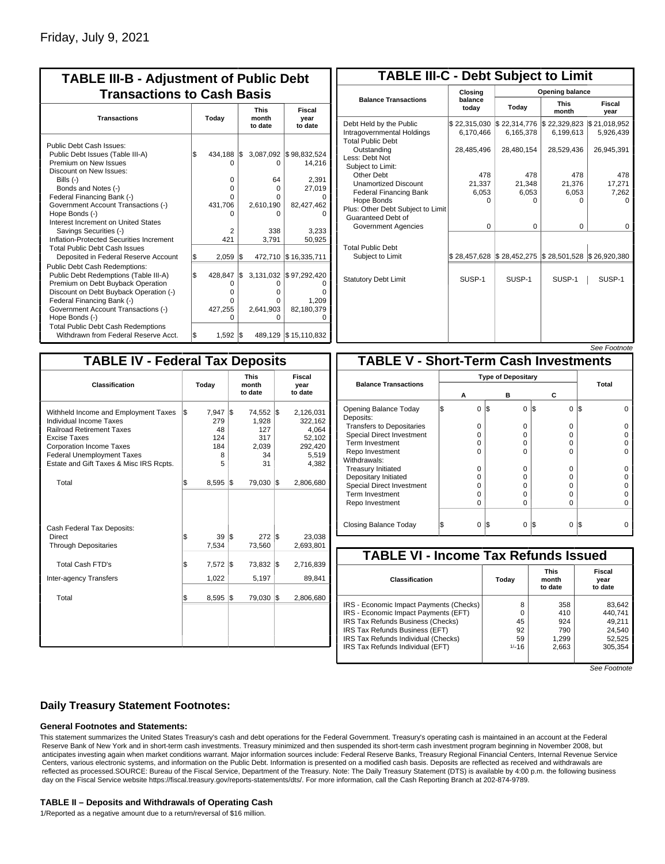| <b>TABLE III-B - Adjustment of Public Debt</b><br><b>Transactions to Cash Basis</b>                                                                                                                                                                                                                                                                                                              |          |                                                        |            |                                                            |                                                                                      |  |  |  |  |  |  |  |  |  |  |  |  |                                 |                           |
|--------------------------------------------------------------------------------------------------------------------------------------------------------------------------------------------------------------------------------------------------------------------------------------------------------------------------------------------------------------------------------------------------|----------|--------------------------------------------------------|------------|------------------------------------------------------------|--------------------------------------------------------------------------------------|--|--|--|--|--|--|--|--|--|--|--|--|---------------------------------|---------------------------|
| <b>Transactions</b>                                                                                                                                                                                                                                                                                                                                                                              |          | Today                                                  |            |                                                            |                                                                                      |  |  |  |  |  |  |  |  |  |  |  |  | <b>This</b><br>month<br>to date | Fiscal<br>year<br>to date |
| Public Debt Cash Issues:<br>Public Debt Issues (Table III-A)<br>Premium on New Issues<br>Discount on New Issues:<br>Bills (-)<br>Bonds and Notes (-)<br>Federal Financing Bank (-)<br>Government Account Transactions (-)<br>Hope Bonds (-)<br>Interest Increment on United States<br>Savings Securities (-)<br>Inflation-Protected Securities Increment<br><b>Total Public Debt Cash Issues</b> | \$       | 434,188<br>n<br>0<br>0<br>0<br>431,706<br>2<br>421     | l\$        | $\Omega$<br>64<br>0<br>U<br>2,610,190<br>o<br>338<br>3.791 | 3,087,092 \$98,832,524<br>14,216<br>2,391<br>27,019<br>82,427,462<br>3,233<br>50,925 |  |  |  |  |  |  |  |  |  |  |  |  |                                 |                           |
| Deposited in Federal Reserve Account<br><b>Public Debt Cash Redemptions:</b><br>Public Debt Redemptions (Table III-A)<br>Premium on Debt Buyback Operation<br>Discount on Debt Buyback Operation (-)<br>Federal Financing Bank (-)<br>Government Account Transactions (-)<br>Hope Bonds (-)<br><b>Total Public Debt Cash Redemptions</b>                                                         | \$<br>\$ | 2,059<br>428,847<br>0<br>$\Omega$<br>O<br>427,255<br>O | 1\$<br>I\$ | 472,710<br>3,131,032<br>0<br>o<br>o<br>2,641,903<br>o      | \$16,335,711<br>\$97,292,420<br>1.209<br>82,180,379                                  |  |  |  |  |  |  |  |  |  |  |  |  |                                 |                           |
| Withdrawn from Federal Reserve Acct.                                                                                                                                                                                                                                                                                                                                                             | l\$      | 1,592                                                  | l\$        |                                                            | 489,129 \$15,110,832                                                                 |  |  |  |  |  |  |  |  |  |  |  |  |                                 |                           |

| <b>TABLE III-C - Debt Subject to Limit</b>                                        |                           |                                                                                  |                           |                           |  |  |  |  |  |  |
|-----------------------------------------------------------------------------------|---------------------------|----------------------------------------------------------------------------------|---------------------------|---------------------------|--|--|--|--|--|--|
|                                                                                   | Closing                   |                                                                                  | Opening balance           |                           |  |  |  |  |  |  |
| <b>Balance Transactions</b>                                                       | balance<br>todav          | Today                                                                            | <b>This</b><br>month      | Fiscal<br>year            |  |  |  |  |  |  |
| Debt Held by the Public<br>Intragovernmental Holdings<br><b>Total Public Debt</b> | \$22,315,030<br>6.170.466 | \$22,314,776<br>6,165,378                                                        | \$22,329,823<br>6,199,613 | \$21,018,952<br>5,926,439 |  |  |  |  |  |  |
| Outstanding<br>Less: Debt Not<br>Subject to Limit:                                | 28,485,496                | 28,480,154                                                                       | 28,529,436                | 26,945,391                |  |  |  |  |  |  |
| Other Debt                                                                        | 478                       | 478                                                                              | 478                       | 478                       |  |  |  |  |  |  |
| <b>Unamortized Discount</b>                                                       | 21,337                    | 21,348                                                                           | 21,376                    | 17,271                    |  |  |  |  |  |  |
| <b>Federal Financing Bank</b>                                                     | 6,053                     | 6,053                                                                            | 6,053                     | 7,262                     |  |  |  |  |  |  |
| Hope Bonds                                                                        | ŋ                         | ი                                                                                | o                         | O                         |  |  |  |  |  |  |
| Plus: Other Debt Subject to Limit<br><b>Guaranteed Debt of</b>                    |                           |                                                                                  |                           |                           |  |  |  |  |  |  |
| Government Agencies                                                               | $\Omega$                  | $\Omega$                                                                         | $\Omega$                  | $\Omega$                  |  |  |  |  |  |  |
| <b>Total Public Debt</b><br>Subject to Limit                                      | \$28,457,628              | $\frac{1}{2}$ \$28,452,275 $\frac{1}{2}$ \$28,501,528 $\frac{1}{2}$ \$26,920,380 |                           |                           |  |  |  |  |  |  |
|                                                                                   |                           |                                                                                  |                           |                           |  |  |  |  |  |  |
| <b>Statutory Debt Limit</b>                                                       | SUSP-1                    | SUSP-1                                                                           | SUSP-1                    | SUSP-1                    |  |  |  |  |  |  |
|                                                                                   |                           |                                                                                  |                           |                           |  |  |  |  |  |  |

See Footnote

| <b>TABLE IV - Federal Tax Deposits</b>                                                                                                                                                                                                        |     |                                                  |     |                                                       |                           |                                                                      |  |  |
|-----------------------------------------------------------------------------------------------------------------------------------------------------------------------------------------------------------------------------------------------|-----|--------------------------------------------------|-----|-------------------------------------------------------|---------------------------|----------------------------------------------------------------------|--|--|
| Classification                                                                                                                                                                                                                                |     | Today                                            |     | <b>This</b><br>month<br>to date                       | Fiscal<br>vear<br>to date |                                                                      |  |  |
| Withheld Income and Employment Taxes<br>Individual Income Taxes<br><b>Railroad Retirement Taxes</b><br><b>Excise Taxes</b><br><b>Corporation Income Taxes</b><br><b>Federal Unemployment Taxes</b><br>Estate and Gift Taxes & Misc IRS Rcpts. | l\$ | $7,947$ \\$<br>279<br>48<br>124<br>184<br>8<br>5 |     | 74,552 \$<br>1,928<br>127<br>317<br>2,039<br>34<br>31 |                           | 2,126,031<br>322,162<br>4,064<br>52,102<br>292,420<br>5,519<br>4,382 |  |  |
| Total                                                                                                                                                                                                                                         | \$  | $8,595$ \\$                                      |     | 79,030 \$                                             |                           | 2,806,680                                                            |  |  |
| Cash Federal Tax Deposits:<br><b>Direct</b><br><b>Through Depositaries</b>                                                                                                                                                                    | \$  | 39<br>7,534                                      | 1\$ | 272S<br>73,560                                        |                           | 23,038<br>2,693,801                                                  |  |  |
| Total Cash FTD's<br><b>Inter-agency Transfers</b>                                                                                                                                                                                             | \$  | $7,572$ \\$<br>1,022                             |     | 73,832<br>5,197                                       | 1\$                       | 2,716,839<br>89,841                                                  |  |  |
| Total                                                                                                                                                                                                                                         | \$  | $8,595$ \\$                                      |     | 79,030 \$                                             |                           | 2,806,680                                                            |  |  |
|                                                                                                                                                                                                                                               |     |                                                  |     |                                                       |                           |                                                                      |  |  |

|                                              |  |          |     |                           |     |          | See <i>Footnote</i> |  |  |
|----------------------------------------------|--|----------|-----|---------------------------|-----|----------|---------------------|--|--|
| <b>TABLE V - Short-Term Cash Investments</b> |  |          |     |                           |     |          |                     |  |  |
|                                              |  |          |     | <b>Type of Depositary</b> |     |          |                     |  |  |
| <b>Balance Transactions</b>                  |  | А        |     | в                         | С   |          | <b>Total</b>        |  |  |
| Opening Balance Today<br>Deposits:           |  | $\Omega$ | 1\$ | $\Omega$                  | \$  | 0        | IS.                 |  |  |
| <b>Transfers to Depositaries</b>             |  | O        |     | 0                         |     | 0        |                     |  |  |
| <b>Special Direct Investment</b>             |  | O        |     | 0                         |     | 0        |                     |  |  |
| <b>Term Investment</b>                       |  | $\Omega$ |     | 0                         |     | O        |                     |  |  |
| Repo Investment                              |  | O        |     | $\Omega$                  |     | 0        |                     |  |  |
| Withdrawals:                                 |  |          |     |                           |     |          |                     |  |  |
| <b>Treasury Initiated</b>                    |  | O        |     | 0                         |     | $\Omega$ |                     |  |  |
| Depositary Initiated                         |  | $\Omega$ |     | 0                         |     | 0        |                     |  |  |
| <b>Special Direct Investment</b>             |  | Ω        |     | 0                         |     | 0        |                     |  |  |
| <b>Term Investment</b>                       |  | O        |     | $\Omega$                  |     | 0        |                     |  |  |
| Repo Investment                              |  | 0        |     | $\Omega$                  |     | 0        |                     |  |  |
| Closing Balance Today                        |  | 0        | l\$ | 0                         | I\$ | 0        | IS.                 |  |  |

| <b>TABLE VI - Income Tax Refunds Issued</b> |         |                                 |                           |  |  |  |  |  |  |  |
|---------------------------------------------|---------|---------------------------------|---------------------------|--|--|--|--|--|--|--|
| <b>Classification</b>                       | Today   | <b>This</b><br>month<br>to date | Fiscal<br>year<br>to date |  |  |  |  |  |  |  |
| IRS - Economic Impact Payments (Checks)     | 8       | 358                             | 83,642                    |  |  |  |  |  |  |  |
| IRS - Economic Impact Payments (EFT)        | 0       | 410                             | 440,741                   |  |  |  |  |  |  |  |
| IRS Tax Refunds Business (Checks)           | 45      | 924                             | 49.211                    |  |  |  |  |  |  |  |
| IRS Tax Refunds Business (EFT)              | 92      | 790                             | 24,540                    |  |  |  |  |  |  |  |
| IRS Tax Refunds Individual (Checks)         | 59      | 1,299                           | 52,525                    |  |  |  |  |  |  |  |
| IRS Tax Refunds Individual (EFT)            | $1/-16$ | 2,663                           | 305.354                   |  |  |  |  |  |  |  |

See Footnote

### **Daily Treasury Statement Footnotes:**

#### **General Footnotes and Statements:**

This statement summarizes the United States Treasury's cash and debt operations for the Federal Government. Treasury's operating cash is maintained in an account at the Federal Reserve Bank of New York and in short-term cash investments. Treasury minimized and then suspended its short-term cash investment program beginning in November 2008, but anticipates investing again when market conditions warrant. Major information sources include: Federal Reserve Banks, Treasury Regional Financial Centers, Internal Revenue Service Centers, various electronic systems, and information on the Public Debt. Information is presented on a modified cash basis. Deposits are reflected as received and withdrawals are reflected as processed.SOURCE: Bureau of the Fiscal Service, Department of the Treasury. Note: The Daily Treasury Statement (DTS) is available by 4:00 p.m. the following business day on the Fiscal Service website https://fiscal.treasury.gov/reports-statements/dts/. For more information, call the Cash Reporting Branch at 202-874-9789.

#### **TABLE II – Deposits and Withdrawals of Operating Cash**

1/Reported as a negative amount due to a return/reversal of \$16 million.